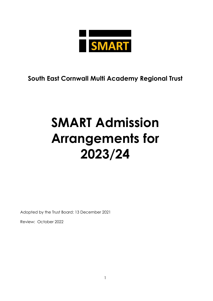

## **South East Cornwall Multi Academy Regional Trust**

# **SMART Admission Arrangements for 2023/24**

Adopted by the Trust Board: 13 December 2021

Review: October 2022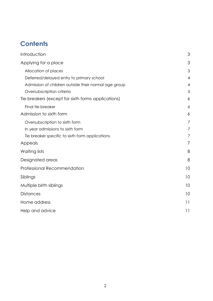# **Contents**

| Introduction                                         | 3              |
|------------------------------------------------------|----------------|
| Applying for a place                                 | 3              |
| Allocation of places                                 | 3              |
| Deferred/delayed entry to primary school             | 4              |
| Admission of children outside their normal age group | 4              |
| Oversubscription criteria                            | 5              |
| Tie-breakers (except for sixth forms applications)   | 6              |
| Final tie-breaker                                    | 6              |
| Admission to sixth form                              | 6              |
| Oversubscription to sixth form                       | $\overline{7}$ |
| In year admissions to sixth form                     | $\overline{7}$ |
| Tie breaker specific to sixth form applications      | 7              |
| Appeals                                              | 7              |
| Waiting lists                                        | 8              |
| Designated areas                                     | 8              |
| <b>Professional Recommendation</b>                   | 10             |
| Siblings                                             | 10             |
| Multiple birth siblings                              | 10             |
| <b>Distances</b>                                     | 10             |
| Home address                                         | 11             |
| Help and advice                                      | 11             |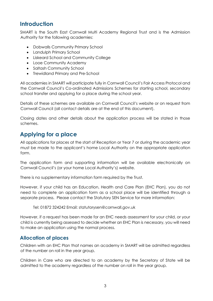## <span id="page-2-0"></span>**Introduction**

SMART is the South East Cornwall Multi Academy Regional Trust and is the Admission Authority for the following academies:

- Dobwalls Community Primary School
- Landulph Primary School
- Liskeard School and Community College
- Looe Community Academy
- Saltash Community School
- Trewidland Primary and Pre-School

All academies in SMART will participate fully in Cornwall Council's Fair Access Protocol and the Cornwall Council's Co-ordinated Admissions Schemes for starting school, secondary school transfer and applying for a place during the school year.

Details of these schemes are available on Cornwall Council's website or on request from Cornwall Council (all contact details are at the end of this document).

Closing dates and other details about the application process will be stated in those schemes.

## <span id="page-2-1"></span>**Applying for a place**

All applications for places at the start of Reception or Year 7 or during the academic year must be made to the applicant's home Local Authority on the appropriate application form.

The application form and supporting information will be available electronically on Cornwall Council's (or your home Local Authority's) website.

There is no supplementary information form required by the Trust.

However, if your child has an Education, Health and Care Plan (EHC Plan), you do not need to complete an application form as a school place will be identified through a separate process. Please contact the Statutory SEN Service for more information:

Tel: 01872 324242 Email: statutorysen@cornwall.gov.uk

However, if a request has been made for an EHC needs assessment for your child, or your child is currently being assessed to decide whether an EHC Plan is necessary, you will need to make an application using the normal process.

#### <span id="page-2-2"></span>**Allocation of places**

Children with an EHC Plan that names an academy in SMART will be admitted regardless of the number on roll in the year group.

Children in Care who are directed to an academy by the Secretary of State will be admitted to the academy regardless of the number on roll in the year group.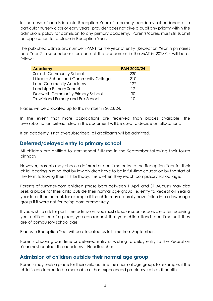In the case of admission into Reception Year of a primary academy, attendance at a particular nursery class or early years' provider does not give a pupil any priority within the admissions policy for admission to any primary academy. Parents/carers must still submit an application for a place in Reception Year.

The published admissions number (PAN) for the year of entry (Reception Year in primaries and Year 7 in secondaries) for each of the academies in the MAT in 2023/24 will be as follows:

| <b>Academy</b>                           | <b>PAN 2023/24</b> |
|------------------------------------------|--------------------|
| Saltash Community School                 | 230                |
| Liskeard School and Community College    | 210                |
| Looe Community Academy                   | 122                |
| Landulph Primary School                  | 12                 |
| Dobwalls Community Primary School        | 30                 |
| <b>Trewidland Primary and Pre-School</b> | IΠ                 |

Places will be allocated up to this number in 2023/24.

In the event that more applications are received than places available, the oversubscription criteria listed in this document will be used to decide on allocations.

If an academy is not oversubscribed, all applicants will be admitted.

#### <span id="page-3-0"></span>**Deferred/delayed entry to primary school**

All children are entitled to start school full-time in the September following their fourth birthday.

However, parents may choose deferred or part-time entry to the Reception Year for their child, bearing in mind that by law children have to be in full-time education by the start of the term following their fifth birthday; this is when they reach compulsory school age.

Parents of summer-born children (those born between 1 April and 31 August) may also seek a place for their child outside their normal age group i.e. entry to Reception Year a year later than normal, for example if the child may naturally have fallen into a lower age group if it were not for being born prematurely.

If you wish to ask for part-time admission, you must do so as soon as possible after receiving your notification of a place; you can request that your child attends part-time until they are of compulsory school age.

Places in Reception Year will be allocated as full time from September.

Parents choosing part-time or deferred entry or wishing to delay entry to the Reception Year must contact the academy's Headteacher.

#### <span id="page-3-1"></span>**Admission of children outside their normal age group**

Parents may seek a place for their child outside their normal age group, for example, if the child is considered to be more able or has experienced problems such as ill health.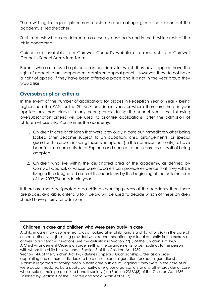Those wishing to request placement outside the normal age group should contact the academy's Headteacher.

Such requests will be considered on a case-by-case basis and in the best interests of the child concerned.

Guidance is available from Cornwall Council's website or on request from Cornwall Council's School Admissions Team.

Parents who are refused a place at an academy for which they have applied have the right of appeal to an independent admission appeal panel. However, they do not have a right of appeal if they have been offered a place and it is not in the year group they would like.

#### <span id="page-4-0"></span>**Oversubscription criteria**

In the event of the number of applications for places in Reception Year or Year 7 being higher than the PAN for the 2023/24 academic year, or where there are more in-year applications than places in any year groups during the school year, the following oversubscription criteria will be used to prioritise applications, after the admission of children whose EHC Plan names the academy:

- 1. Children in care or children that were previously in care but immediately after being looked after became subject to an adoption, child arrangements, or special guardianship order including those who appear (to the admission authority) to have been in state care outside of England and ceased to be in care as a result of being adopted<sup>1</sup>.
- 2. Children who live within the designated area of the academy, as defined by Cornwall Council, or whose parents/carers can provide evidence that they will be living in the designated area of the academy by the beginning of the autumn term of the 2023/24 academic year.

If there are more designated area children wanting places at the academy than there are places available, criteria 3 to 7 below will be used to decide which of these children should have priority for admission.

<sup>1</sup> **Children in care and children who were previously in care**

A child in care may also referred to as a 'looked after child' and is a child who is (a) in the care of a local authority, or (b) being provided with accommodation by a local authority in the exercise of their social services functions (see the definition in Section 22(1) of the Children Act 1989). A Child Arrangement Order is an order settling the arrangements to be made as to the person with whom the child is to live under Section 8 of the Children Act 1989.

Section 14A of the Children Act 1989 defines a Special Guardianship Order as an order appointing one or more individuals to be a child's special guardian (or special guardians). A child is regarded as having been in state care outside of England if they were in the care of or were accommodated by a public authority, a religious organisation, or any other provider of care whose sole or main purpose is to benefit society (see Section 23ZZA(8) of the Children Act 1989 (inserted by Section 4 of the Children and Social Work Act 2017)).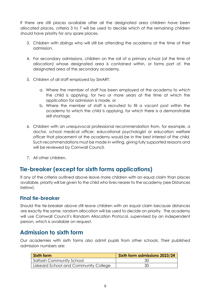If there are still places available after all the designated area children have been allocated places, criteria 3 to 7 will be used to decide which of the remaining children should have priority for any spare places.

- 3. Children with siblings who will still be attending the academy at the time of their admission.
- 4. For secondary admissions, children on the roll of a primary school (at the time of allocation) whose designated area is contained within, or forms part of, the designated area of the secondary academy.
- 5. Children of all staff employed by SMART:
	- a. Where the member of staff has been employed at the academy to which the child is applying, for two or more years at the time at which the application for admission is made, or
	- b. Where the member of staff is recruited to fill a vacant post within the academy to which the child is applying, for which there is a demonstrable skill shortage.
- 6. Children with an unequivocal professional recommendation from, for example, a doctor, school medical officer, educational psychologist or education welfare officer that placement at the academy would be in the best interest of the child. Such recommendations must be made in writing, giving fully supported reasons and will be reviewed by Cornwall Council.
- 7. All other children.

## <span id="page-5-0"></span>**Tie-breaker (except for sixth forms applications)**

If any of the criteria outlined above leave more children with an equal claim than places available, priority will be given to the child who lives nearer to the academy (see Distances below).

#### <span id="page-5-1"></span>**Final tie-breaker**

Should the tie-breaker above still leave children with an equal claim because distances are exactly the same, random allocation will be used to decide on priority. The academy will use Cornwall Council's Random Allocation Protocol, supervised by an independent person, which is available on request.

## <span id="page-5-2"></span>**Admission to sixth form**

Our academies with sixth forms also admit pupils from other schools. Their published admission numbers are:

| <b>Sixth form</b>                     | Sixth form admissions 2023/24 |
|---------------------------------------|-------------------------------|
| Saltash Community School              | 30                            |
| Liskeard School and Community College |                               |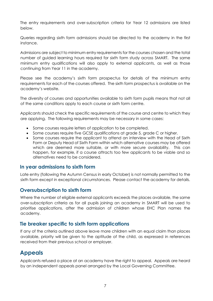The entry requirements and over-subscription criteria for Year 12 admissions are listed below.

Queries regarding sixth form admissions should be directed to the academy in the first instance.

Admissions are subject to minimum entry requirements for the courses chosen and the total number of guided learning hours required for sixth form study across SMART. The same minimum entry qualifications will also apply to external applicants, as well as those continuing from Year 11 in the academy.

Please see the academy's sixth form prospectus for details of the minimum entry requirements for each of the courses offered. The sixth form prospectus is available on the academy's website.

The diversity of courses and opportunities available to sixth form pupils means that not all of the same conditions apply to each course or sixth form centre.

Applicants should check the specific requirements of the course and centre to which they are applying. The following requirements may be necessary in some cases:

- Some courses require letters of application to be completed.
- Some courses require five GCSE qualifications at grade 5, grade C or higher.
- Some courses require the applicant to attend an interview with the Head of Sixth Form or Deputy Head of Sixth Form within which alternative courses may be offered which are deemed more suitable, or with more secure availability. This can happen, for example, if a course attracts too few applicants to be viable and so alternatives need to be considered.

#### <span id="page-6-0"></span>**In year admissions to sixth form**

Late entry (following the Autumn Census in early October) is not normally permitted to the sixth form except in exceptional circumstances. Please contact the academy for details.

#### **Oversubscription to sixth form**

Where the number of eligible external applicants exceeds the places available, the same over-subscription criteria as for all pupils joining an academy in SMART will be used to prioritise applications, after the admission of children whose EHC Plan names the academy.

#### <span id="page-6-1"></span>**Tie breaker specific to sixth form applications**

If any of the criteria outlined above leave more children with an equal claim than places available, priority will be given to the aptitude of the child, as expressed in references received from their previous school or employer.

## <span id="page-6-2"></span>**Appeals**

Applicants refused a place at an academy have the right to appeal. Appeals are heard by an independent appeals panel arranged by the Local Governing Committee.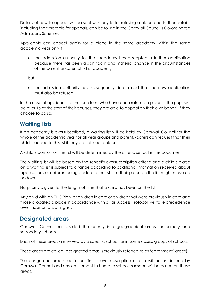Details of how to appeal will be sent with any letter refusing a place and further details, including the timetable for appeals, can be found in the Cornwall Council's Co-ordinated Admissions Scheme.

Applicants can appeal again for a place in the same academy within the same academic year only if:

• the admission authority for that academy has accepted a further application because there has been a significant and material change in the circumstances of the parent or carer, child or academy

but

• the admission authority has subsequently determined that the new application must also be refused.

In the case of applicants to the sixth form who have been refused a place, if the pupil will be over 16 at the start of their courses, they are able to appeal on their own behalf, if they choose to do so.

## <span id="page-7-0"></span>**Waiting lists**

If an academy is oversubscribed, a waiting list will be held by Cornwall Council for the whole of the academic year for all year groups and parents/carers can request that their child is added to this list if they are refused a place.

A child's position on the list will be determined by the criteria set out in this document.

The waiting list will be based on the school's oversubscription criteria and a child's place on a waiting list is subject to change according to additional information received about applications or children being added to the list – so their place on the list might move up or down.

No priority is given to the length of time that a child has been on the list.

Any child with an EHC Plan, or children in care or children that were previously in care and those allocated a place in accordance with a Fair Access Protocol, will take precedence over those on a waiting list.

## <span id="page-7-1"></span>**Designated areas**

Cornwall Council has divided the county into geographical areas for primary and secondary schools.

Each of these areas are served by a specific school, or in some cases, groups of schools.

These areas are called 'designated areas' (previously referred to as 'catchment' areas).

The designated area used in our Trust's oversubscription criteria will be as defined by Cornwall Council and any entitlement to home to school transport will be based on these areas.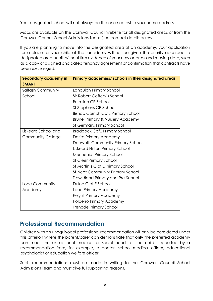Your designated school will not always be the one nearest to your home address.

Maps are available on the Cornwall Council website for all designated areas or from the Cornwall Council School Admissions Team (see contact details below).

If you are planning to move into the designated area of an academy, your application for a place for your child at that academy will not be given the priority accorded to designated area pupils without firm evidence of your new address and moving date, such as a copy of a signed and dated tenancy agreement or confirmation that contracts have been exchanged.

| Secondary academy in     | Primary academies/ schools in their designated areas |  |  |
|--------------------------|------------------------------------------------------|--|--|
| <b>SMART</b>             |                                                      |  |  |
| <b>Saltash Community</b> | Landulph Primary School                              |  |  |
| School                   | Sir Robert Geffery's School                          |  |  |
|                          | <b>Burraton CP School</b>                            |  |  |
|                          | St Stephens CP School                                |  |  |
|                          | <b>Bishop Cornish CofE Primary School</b>            |  |  |
|                          | <b>Brunel Primary &amp; Nursery Academy</b>          |  |  |
|                          | <b>St Germans Primary School</b>                     |  |  |
| Liskeard School and      | <b>Braddock CofE Primary School</b>                  |  |  |
| <b>Community College</b> | Darite Primary Academy                               |  |  |
|                          | Dobwalls Community Primary School                    |  |  |
|                          | Liskeard Hillfort Primary School                     |  |  |
|                          | <b>Menheniot Primary School</b>                      |  |  |
|                          | <b>St Cleer Primary School</b>                       |  |  |
|                          | St Martin's C of E Primary School                    |  |  |
|                          | <b>St Neot Community Primary School</b>              |  |  |
|                          | Trewidland Primary and Pre-School                    |  |  |
| Looe Community           | Duloe C of E School                                  |  |  |
| Academy                  | Looe Primary Academy                                 |  |  |
|                          | Pelynt Primary Academy                               |  |  |
|                          | Polperro Primary Academy                             |  |  |
|                          | <b>Trenode Primary School</b>                        |  |  |

## **Professional Recommendation**

Children with an unequivocal professional recommendation will only be considered under this criterion where the parent/carer can demonstrate that **only** the preferred academy can meet the exceptional medical or social needs of the child, supported by a recommendation from, for example, a doctor, school medical officer, educational psychologist or education welfare officer.

Such recommendations must be made in writing to the Cornwall Council School Admissions Team and must give full supporting reasons.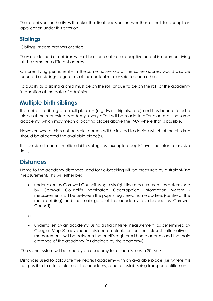The admission authority will make the final decision on whether or not to accept an application under this criterion.

## <span id="page-9-0"></span>**Siblings**

'Siblings' means brothers or sisters.

They are defined as children with at least one natural or adoptive parent in common, living at the same or a different address.

Children living permanently in the same household at the same address would also be counted as siblings, regardless of their actual relationship to each other.

To qualify as a sibling a child must be on the roll, or due to be on the roll, of the academy in question at the date of admission.

## <span id="page-9-1"></span>**Multiple birth siblings**

If a child is a sibling of a multiple birth (e.g. twins, triplets, etc.) and has been offered a place at the requested academy, every effort will be made to offer places at the same academy, which may mean allocating places above the PAN where that is possible.

However, where this is not possible, parents will be invited to decide which of the children should be allocated the available place(s).

It is possible to admit multiple birth siblings as 'excepted pupils' over the infant class size limit.

## <span id="page-9-2"></span>**Distances**

Home to the academy distances used for tie-breaking will be measured by a straight-line measurement. This will either be:

• undertaken by Cornwall Council using a straight-line measurement, as determined by Cornwall Council's nominated Geographical Information System measurements will be between the pupil's registered home address (centre of the main building) and the main gate of the academy (as decided by Cornwall Council);

or

• undertaken by an academy, using a straight-line measurement, as determined by Google Maps® advanced distance calculator or the closest alternative measurements will be between the pupil's registered home address and the main entrance of the academy (as decided by the academy).

The same system will be used by an academy for all admissions in 2023/24.

Distances used to calculate the nearest academy with an available place (i.e. where it is not possible to offer a place at the academy), and for establishing transport entitlements,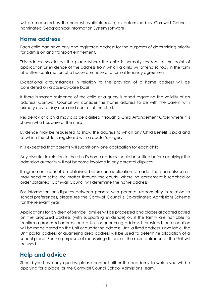will be measured by the nearest available route, as determined by Cornwall Council's nominated Geographical Information System software.

### <span id="page-10-0"></span>**Home address**

Each child can have only one registered address for the purposes of determining priority for admission and transport entitlement.

This address should be the place where the child is normally resident at the point of application or evidence of the address from which a child will attend school, in the form of written confirmation of a house purchase or a formal tenancy agreement.

Exceptional circumstances in relation to the provision of a home address will be considered on a case-by-case basis.

If there is shared residence of the child or a query is raised regarding the validity of an address, Cornwall Council will consider the home address to be with the parent with primary day to day care and control of the child.

Residency of a child may also be clarified through a Child Arrangement Order where it is shown who has care of the child.

Evidence may be requested to show the address to which any Child Benefit is paid and at which the child is registered with a doctor's surgery.

It is expected that parents will submit only one application for each child.

Any disputes in relation to the child's home address should be settled before applying; the admission authority will not become involved in any parental disputes.

If agreement cannot be obtained before an application is made, then parents/carers may need to settle the matter through the courts. Where no agreement is reached or order obtained, Cornwall Council will determine the home address.

For information on disputes between persons with parental responsibility in relation to school preferences, please see the Cornwall Council's Co-ordinated Admissions Scheme for the relevant year.

Applications for children of Service Families will be processed and places allocated based on the proposed address (with supporting evidence) or, if the family are not able to confirm a proposed address and a Unit or quartering address is provided, an allocation will be made based on the Unit or quartering address. Until a fixed address is available, the Unit postal address or quartering area address will be used to determine allocation of a school place. For the purposes of measuring distances, the main entrance of the Unit will be used.

## <span id="page-10-1"></span>**Help and advice**

Should you have any queries, please contact either the academy to which you will be applying for a place, or the Cornwall Council School Admissions Team.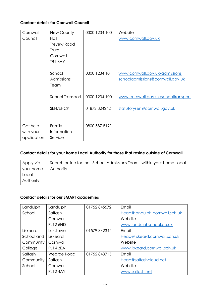#### **Contact details for Cornwall Council**

| Cornwall    | New County         | 0300 1234 100 | Website                             |
|-------------|--------------------|---------------|-------------------------------------|
| Council     | Hall               |               | www.cornwall.gov.uk                 |
|             | <b>Treyew Road</b> |               |                                     |
|             | Truro              |               |                                     |
|             | Cornwall           |               |                                     |
|             | <b>TR1 3AY</b>     |               |                                     |
|             |                    |               |                                     |
|             | School             | 0300 1234 101 | www.cornwall.gov.uk/admissions      |
|             | <b>Admissions</b>  |               | schooladmissions@cornwall.gov.uk    |
|             | Team               |               |                                     |
|             | School Transport   | 0300 1234 100 | www.cornwall.gov.uk/schooltransport |
|             |                    |               |                                     |
|             | SEN/EHCP           | 01872 324242  | statutorysen@cornwall.gov.uk        |
|             |                    |               |                                     |
|             |                    |               |                                     |
| Get help    | Family             | 0800 587 8191 |                                     |
| with your   | Information        |               |                                     |
| application | Service            |               |                                     |

#### **Contact details for your home Local Authority for those that reside outside of Cornwall**

| Apply via | Search online for the "School Admissions Team" within your home Local |
|-----------|-----------------------------------------------------------------------|
| your home | Authority                                                             |
| Local     |                                                                       |
| Authority |                                                                       |

#### **Contact details for our SMART academies**

| Landulph   | Landulph        | 01752845572  | Email                         |
|------------|-----------------|--------------|-------------------------------|
| School     | Saltash         |              | Head@landulph.cornwall.sch.uk |
|            | Cornwall        |              | Website                       |
|            | <b>PL12 6ND</b> |              | www.landulphschool.co.uk      |
| Liskeard   | Luxstowe        | 01579 342344 | Email                         |
| School and | Liskeard        |              | Head@liskeard.cornwall.sch.uk |
| Community  | Cornwall        |              | Website                       |
| College    | <b>PL14 3EA</b> |              | www.liskeard.cornwall.sch.uk  |
| Saltash    | Wearde Road     | 01752843715  | Email                         |
| Community  | Saltash         |              | Head@saltashcloud.net         |
| School     | Cornwall        |              | Website                       |
|            | <b>PL12 4AY</b> |              | www.saltash.net               |